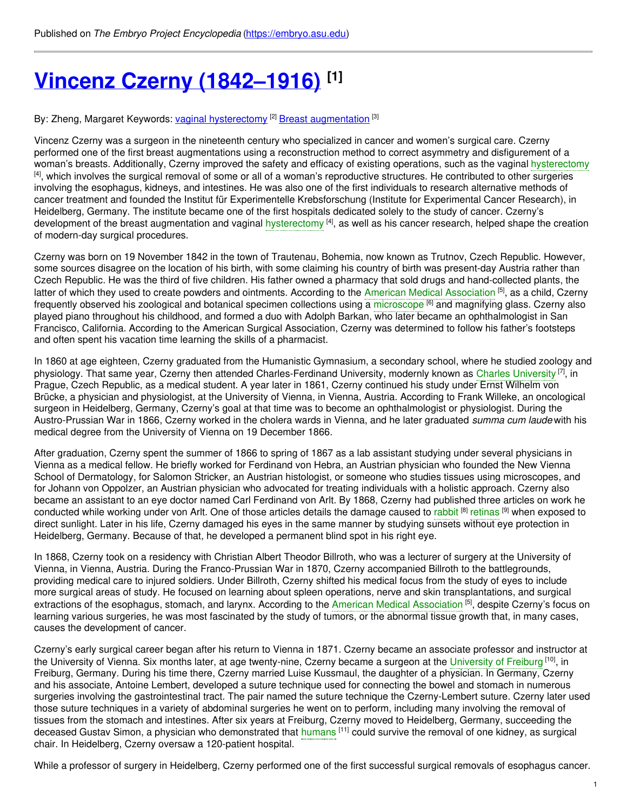# **Vincenz Czerny [\(1842–1916\)](https://embryo.asu.edu/pages/vincenz-czerny-1842-1916) [1]**

By: Zheng, Margaret Keywords: <u>vaginal [hysterectomy](https://embryo.asu.edu/keywords/vaginal-hysterectomy) [2] Breast [augmentation](https://embryo.asu.edu/keywords/breast-augmentation)</u> [3]

Vincenz Czerny was a surgeon in the nineteenth century who specialized in cancer and women's surgical care. Czerny performed one of the first breast augmentations using a reconstruction method to correct asymmetry and disfigurement of a woman's breasts. Additionally, Czerny improved the safety and efficacy of existing operations, such as the vaginal [hysterectomy](https://embryo.asu.edu/search?text=hysterectomy)  $^{[4]}$ , which involves the surgical removal of some or all of a woman's reproductive structures. He contributed to other surgeries involving the esophagus, kidneys, and intestines. He was also one of the first individuals to research alternative methods of cancer treatment and founded the Institut für Experimentelle Krebsforschung (Institute for Experimental Cancer Research), in Heidelberg, Germany. The institute became one of the first hospitals dedicated solely to the study of cancer. Czerny's development of the breast augmentation and vaginal [hysterectomy](https://embryo.asu.edu/search?text=hysterectomy) [4], as well as his cancer research, helped shape the creation of modern-day surgical procedures.

Czerny was born on 19 November 1842 in the town of Trautenau, Bohemia, now known as Trutnov, Czech Republic. However, some sources disagree on the location of his birth, with some claiming his country of birth was present-day Austria rather than Czech Republic. He was the third of five children. His father owned a pharmacy that sold drugs and hand-collected plants, the latter of which they used to create powders and ointments. According to the American Medical [Association](https://embryo.asu.edu/search?text=American%20Medical%20Association) <sup>[5]</sup>, as a child, Czerny frequently observed his zoological and botanical specimen collections using a [microscope](https://embryo.asu.edu/search?text=microscope) <sup>[6]</sup> and magnifying glass. Czerny also played piano throughout his childhood, and formed a duo with Adolph Barkan, who later became an ophthalmologist in San Francisco, California. According to the American Surgical Association, Czerny was determined to follow his father's footsteps and often spent his vacation time learning the skills of a pharmacist.

In 1860 at age eighteen, Czerny graduated from the Humanistic Gymnasium, a secondary school, where he studied zoology and physiology. That same year, Czerny then attended Charles-Ferdinand [University](https://embryo.asu.edu/search?text=Charles%20University), modernly known as Charles University <sup>[7]</sup>, in Prague, Czech Republic, as a medical student. A year later in 1861, Czerny continued his study under Ernst Wilhelm von Brücke, a physician and physiologist, at the University of Vienna, in Vienna, Austria. According to Frank Willeke, an oncological surgeon in Heidelberg, Germany, Czerny's goal at that time was to become an ophthalmologist or physiologist. During the Austro-Prussian War in 1866, Czerny worked in the cholera wards in Vienna, and he later graduated *summa cum laude* with his medical degree from the University of Vienna on 19 December 1866.

After graduation, Czerny spent the summer of 1866 to spring of 1867 as a lab assistant studying under several physicians in Vienna as a medical fellow. He briefly worked for Ferdinand von Hebra, an Austrian physician who founded the New Vienna School of Dermatology, for Salomon Stricker, an Austrian histologist, or someone who studies tissues using microscopes, and for Johann von Oppolzer, an Austrian physician who advocated for treating individuals with a holistic approach. Czerny also became an assistant to an eye doctor named Carl Ferdinand von Arlt. By 1868, Czerny had published three articles on work he conducted while working under von Arlt. One of those articles details the damage caused to [rabbit](https://embryo.asu.edu/search?text=rabbit) <sup>[8]</sup> [retinas](https://embryo.asu.edu/search?text=retinas) <sup>[9]</sup> when exposed to direct sunlight. Later in his life, Czerny damaged his eyes in the same manner by studying sunsets without eye protection in Heidelberg, Germany. Because of that, he developed a permanent blind spot in his right eye.

In 1868, Czerny took on a residency with Christian Albert Theodor Billroth, who was a lecturer of surgery at the University of Vienna, in Vienna, Austria. During the Franco-Prussian War in 1870, Czerny accompanied Billroth to the battlegrounds, providing medical care to injured soldiers. Under Billroth, Czerny shifted his medical focus from the study of eyes to include more surgical areas of study. He focused on learning about spleen operations, nerve and skin transplantations, and surgical extractions of the esophagus, stomach, and larynx. According to the American Medical [Association](https://embryo.asu.edu/search?text=American%20Medical%20Association) [5], despite Czerny's focus on learning various surgeries, he was most fascinated by the study of tumors, or the abnormal tissue growth that, in many cases, causes the development of cancer.

Czerny's early surgical career began after his return to Vienna in 1871. Czerny became an associate professor and instructor at the [University](https://embryo.asu.edu/search?text=University%20of%20Freiburg) of Vienna. Six months later, at age twenty-nine, Czerny became a surgeon at the University of Freiburg <sup>[10]</sup>, in Freiburg, Germany. During his time there, Czerny married Luise Kussmaul, the daughter of a physician. In Germany, Czerny and his associate, Antoine Lembert, developed a suture technique used for connecting the bowel and stomach in numerous surgeries involving the gastrointestinal tract. The pair named the suture technique the Czerny-Lembert suture. Czerny later used those suture techniques in a variety of abdominal surgeries he went on to perform, including many involving the removal of tissues from the stomach and intestines. After six years at Freiburg, Czerny moved to Heidelberg, Germany, succeeding the deceased Gustav Simon, a physician who demonstrated that [humans](https://embryo.asu.edu/search?text=humans) <sup>[11]</sup> could survive the removal of one kidney, as surgical chair. In Heidelberg, Czerny oversaw a 120-patient hospital.

While a professor of surgery in Heidelberg, Czerny performed one of the first successful surgical removals of esophagus cancer.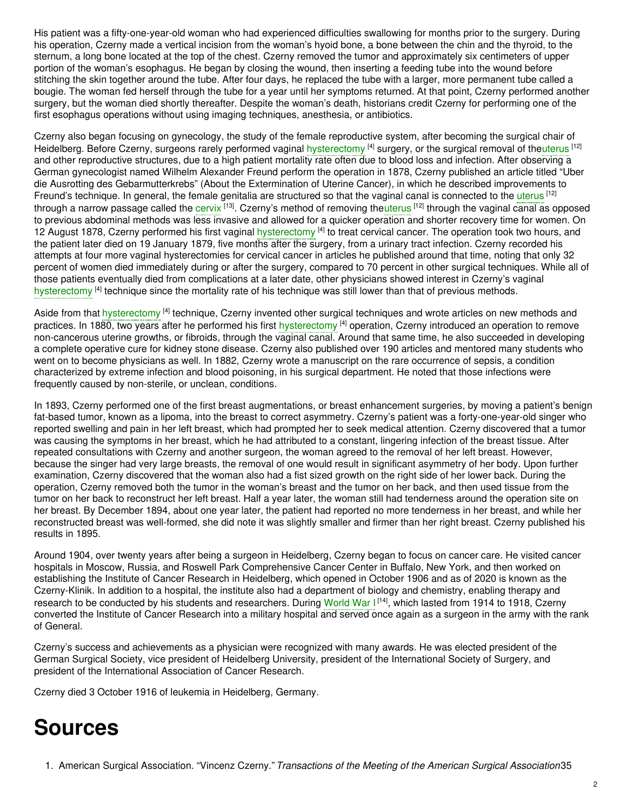His patient was a fifty-one-year-old woman who had experienced difficulties swallowing for months prior to the surgery. During his operation, Czerny made a vertical incision from the woman's hyoid bone, a bone between the chin and the thyroid, to the sternum, a long bone located at the top of the chest. Czerny removed the tumor and approximately six centimeters of upper portion of the woman's esophagus. He began by closing the wound, then inserting a feeding tube into the wound before stitching the skin together around the tube. After four days, he replaced the tube with a larger, more permanent tube called a bougie. The woman fed herself through the tube for a year until her symptoms returned. At that point, Czerny performed another surgery, but the woman died shortly thereafter. Despite the woman's death, historians credit Czerny for performing one of the first esophagus operations without using imaging techniques, anesthesia, or antibiotics.

Czerny also began focusing on gynecology, the study of the female reproductive system, after becoming the surgical chair of Heidelberg. Before Czerny, surgeons rarely performed vaginal [hysterectomy](https://embryo.asu.edu/search?text=hysterectomy) <sup>[4]</sup> surgery, or the surgical removal of the[uterus](https://embryo.asu.edu/search?text=uterus) <sup>[12]</sup> and other reproductive structures, due to a high patient mortality rate often due to blood loss and infection. After observing a German gynecologist named Wilhelm Alexander Freund perform the operation in 1878, Czerny published an article titled "Uber die Ausrotting des Gebarmutterkrebs" (About the Extermination of Uterine Cancer), in which he described improvements to Freund's technique. In general, the female genitalia are structured so that the vaginal canal is connected to the [uterus](https://embryo.asu.edu/search?text=uterus) [12] through a narrow passage called the [cervix](https://embryo.asu.edu/search?text=cervix) <sup>[13]</sup>. Czerny's method of removing the[uterus](https://embryo.asu.edu/search?text=uterus) <sup>[12]</sup> through the vaginal canal as opposed to previous abdominal methods was less invasive and allowed for a quicker operation and shorter recovery time for women. On 12 August 1878, Czerny performed his first vaginal [hysterectomy](https://embryo.asu.edu/search?text=hysterectomy) <sup>[4]</sup> to treat cervical cancer. The operation took two hours, and the patient later died on 19 January 1879, five months after the surgery, from a urinary tract infection. Czerny recorded his attempts at four more vaginal hysterectomies for cervical cancer in articles he published around that time, noting that only 32 percent of women died immediately during or after the surgery, compared to 70 percent in other surgical techniques. While all of those patients eventually died from complications at a later date, other physicians showed interest in Czerny's vaginal [hysterectomy](https://embryo.asu.edu/search?text=hysterectomy) <sup>[4]</sup> technique since the mortality rate of his technique was still lower than that of previous methods.

Aside from that [hysterectomy](https://embryo.asu.edu/search?text=hysterectomy) <sup>[4]</sup> technique, Czerny invented other surgical techniques and wrote articles on new methods and practices. In 1880, two years after he performed his first [hysterectomy](https://embryo.asu.edu/search?text=hysterectomy) <sup>[4]</sup> operation, Czerny introduced an operation to remove non-cancerous uterine growths, or fibroids, through the vaginal canal. Around that same time, he also succeeded in developing a complete operative cure for kidney stone disease. Czerny also published over 190 articles and mentored many students who went on to become physicians as well. In 1882, Czerny wrote a manuscript on the rare occurrence of sepsis, a condition characterized by extreme infection and blood poisoning, in his surgical department. He noted that those infections were frequently caused by non-sterile, or unclean, conditions.

In 1893, Czerny performed one of the first breast augmentations, or breast enhancement surgeries, by moving a patient's benign fat-based tumor, known as a lipoma, into the breast to correct asymmetry. Czerny's patient was a forty-one-year-old singer who reported swelling and pain in her left breast, which had prompted her to seek medical attention. Czerny discovered that a tumor was causing the symptoms in her breast, which he had attributed to a constant, lingering infection of the breast tissue. After repeated consultations with Czerny and another surgeon, the woman agreed to the removal of her left breast. However, because the singer had very large breasts, the removal of one would result in significant asymmetry of her body. Upon further examination, Czerny discovered that the woman also had a fist sized growth on the right side of her lower back. During the operation, Czerny removed both the tumor in the woman's breast and the tumor on her back, and then used tissue from the tumor on her back to reconstruct her left breast. Half a year later, the woman still had tenderness around the operation site on her breast. By December 1894, about one year later, the patient had reported no more tenderness in her breast, and while her reconstructed breast was well-formed, she did note it was slightly smaller and firmer than her right breast. Czerny published his results in 1895.

Around 1904, over twenty years after being a surgeon in Heidelberg, Czerny began to focus on cancer care. He visited cancer hospitals in Moscow, Russia, and Roswell Park Comprehensive Cancer Center in Buffalo, New York, and then worked on establishing the Institute of Cancer Research in Heidelberg, which opened in October 1906 and as of 2020 is known as the Czerny-Klinik. In addition to a hospital, the institute also had a department of biology and chemistry, enabling therapy and research to be conducted by his students and researchers. During [World](https://embryo.asu.edu/search?text=World%20War%20I) War I<sup>[14]</sup>, which lasted from 1914 to 1918, Czerny converted the Institute of Cancer Research into a military hospital and served once again as a surgeon in the army with the rank of General.

Czerny's success and achievements as a physician were recognized with many awards. He was elected president of the German Surgical Society, vice president of Heidelberg University, president of the International Society of Surgery, and president of the International Association of Cancer Research.

Czerny died 3 October 1916 of leukemia in Heidelberg, Germany.

## **Sources**

1. American Surgical Association. "Vincenz Czerny."*Transactions of the Meeting of the American Surgical Association*35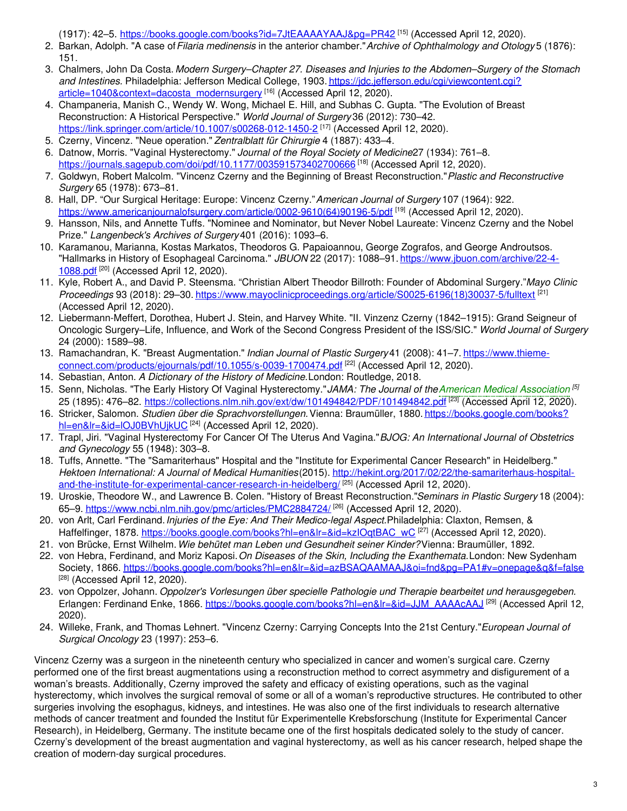(1917): 42–5. <u><https://books.google.com/books?id=7JtEAAAAYAAJ&pg=PR42></u> <sup>[15]</sup> (Accessed April 12, 2020).

- 2. Barkan, Adolph. "A case of*Filaria medinensis* in the anterior chamber."*Archive of Ophthalmology and Otology* 5 (1876): 151.
- 3. Chalmers, John Da Costa. *Modern Surgery–Chapter 27. Diseases and Injuries to the Abdomen–Surgery of the Stomach and Intestines.* Philadelphia: Jefferson Medical College, 1903. https://jdc.jefferson.edu/cgi/viewcontent.cgi? [article=1040&context=dacosta\\_modernsurgery](https://jdc.jefferson.edu/cgi/viewcontent.cgi?article=1040&context=dacosta_modernsurgery)<sup>[16]</sup> (Accessed April 12, 2020).
- 4. Champaneria, Manish C., Wendy W. Wong, Michael E. Hill, and Subhas C. Gupta. "The Evolution of Breast Reconstruction: A Historical Perspective." *World Journal of Surgery* 36 (2012): 730–42. <https://link.springer.com/article/10.1007/s00268-012-1450-2> [17] (Accessed April 12, 2020).
- 5. Czerny, Vincenz. "Neue operation." *Zentralblatt für Chirurgie* 4 (1887): 433–4.
- 6. Datnow, Morris. "Vaginal Hysterectomy." *Journal of the Royal Society of Medicine*27 (1934): 761–8. <https://journals.sagepub.com/doi/pdf/10.1177/003591573402700666> [18] (Accessed April 12, 2020).
- 7. Goldwyn, Robert Malcolm. "Vincenz Czerny and the Beginning of Breast Reconstruction."*Plastic and Reconstructive Surgery* 65 (1978): 673–81.
- 8. Hall, DP. "Our Surgical Heritage: Europe: Vincenz Czerny."*American Journal of Surgery* 107 (1964): 922. [https://www.americanjournalofsurgery.com/article/0002-9610\(64\)90196-5/pdf](https://www.americanjournalofsurgery.com/article/0002-9610(64)90196-5/pdf) <sup>[19]</sup> (Accessed April 12, 2020).
- 9. Hansson, Nils, and Annette Tuffs. "Nominee and Nominator, but Never Nobel Laureate: Vincenz Czerny and the Nobel Prize." *Langenbeck's Archives of Surgery* 401 (2016): 1093–6.
- 10. Karamanou, Marianna, Kostas Markatos, Theodoros G. Papaioannou, George Zografos, and George Androutsos. "Hallmarks in History of Esophageal Carcinoma." *JBUON* 22 (2017): 1088–91. [https://www.jbuon.com/archive/22-4-](https://www.jbuon.com/archive/22-4-1088.pdf) 1088.pdf<sup>[20]</sup> (Accessed April 12, 2020).
- 11. Kyle, Robert A., and David P. Steensma. "Christian Albert Theodor Billroth: Founder of Abdominal Surgery."*Mayo Clinic Proceedings* 93 (2018): 29–30. [https://www.mayoclinicproceedings.org/article/S0025-6196\(18\)30037-5/fulltext](https://www.mayoclinicproceedings.org/article/S0025-6196(18)30037-5/fulltext) [21] (Accessed April 12, 2020).
- 12. Liebermann-Meffert, Dorothea, Hubert J. Stein, and Harvey White. "II. Vinzenz Czerny (1842–1915): Grand Seigneur of Oncologic Surgery–Life, Influence, and Work of the Second Congress President of the ISS/SIC." *World Journal of Surgery* 24 (2000): 1589–98.
- 13. Ramachandran, K. "Breast Augmentation." *Indian Journal of Plastic Surgery* 41 (2008): 41–7. https://www.thieme[connect.com/products/ejournals/pdf/10.1055/s-0039-1700474.pdf](https://www.thieme-connect.com/products/ejournals/pdf/10.1055/s-0039-1700474.pdf) [22] (Accessed April 12, 2020).
- 14. Sebastian, Anton. *A Dictionary of the History of Medicine.*London: Routledge, 2018.
- 15. Senn, Nicholas. "The Early History Of Vaginal Hysterectomy."*JAMA: The Journal of theAmerican Medical [Association](https://embryo.asu.edu/search?text=American%20Medical%20Association) [5]* 25 (1895): 476–82. <u><https://collections.nlm.nih.gov/ext/dw/101494842/PDF/101494842.pdf></u> <sup>[23]</sup> (Accessed April 12, 2020).
- 16. Stricker, Salomon. *Studien über die Sprachvorstellungen.*Vienna: Braumüller, 1880. [https://books.google.com/books?](https://books.google.com/books?hl=en&lr=&id=lOJ0BVhUjkUC) <u>hl=en&lr=&id=lOJ0BVhUjkUC</u> <sup>[24]</sup> (Accessed April 12, 2020).
- 17. Trapl, Jiri. "Vaginal Hysterectomy For Cancer Of The Uterus And Vagina."*BJOG: An International Journal of Obstetrics and Gynecology* 55 (1948): 303–8.
- 18. Tuffs, Annette. "The "Samariterhaus" Hospital and the "Institute for Experimental Cancer Research" in Heidelberg." *Hektoen International: A Journal of Medical Humanities*(2015). http://hekint.org/2017/02/22/the-samariterhaus-hospital[and-the-institute-for-experimental-cancer-research-in-heidelberg/](http://hekint.org/2017/02/22/the-samariterhaus-hospital-and-the-institute-for-experimental-cancer-research-in-heidelberg/)<sup>[25]</sup> (Accessed April 12, 2020).
- 19. Uroskie, Theodore W., and Lawrence B. Colen. "History of Breast Reconstruction."*Seminars in Plastic Surgery* 18 (2004): 65–9. <u><https://www.ncbi.nlm.nih.gov/pmc/articles/PMC2884724/></u> <sup>[26]</sup> (Accessed April 12, 2020).
- 20. von Arlt, Carl Ferdinand.*Injuries of the Eye: And Their Medico-legal Aspect.*Philadelphia: Claxton, Remsen, & Haffelfinger, 1878. <u>[https://books.google.com/books?hl=en&lr=&id=kzIOqtBAC\\_wC](https://books.google.com/books?hl=en&lr=&id=kzIOqtBAC_wC)</u> <sup>[27]</sup> (Accessed April 12, 2020).
- 21. von Brücke, Ernst Wilhelm.*Wie behütet man Leben und Gesundheit seiner Kinder?*Vienna: Braumüller, 1892.
- 22. von Hebra, Ferdinand, and Moriz Kaposi.*On Diseases of the Skin, Including the Exanthemata.*London: New Sydenham Society, 1866. <https://books.google.com/books?hl=en&lr=&id=azBSAQAAMAAJ&oi=fnd&pg=PA1#v=onepage&q&f=false> [28] (Accessed April 12, 2020).
- 23. von Oppolzer, Johann. *Oppolzer's Vorlesungen über specielle Pathologie und Therapie bearbeitet und herausgegeben.* Erlangen: Ferdinand Enke, 1866. [https://books.google.com/books?hl=en&lr=&id=JJM\\_AAAAcAAJ](https://books.google.com/books?hl=en&lr=&id=JJM_AAAAcAAJ) <sup>[29]</sup> (Accessed April 12, 2020).
- 24. Willeke, Frank, and Thomas Lehnert. "Vincenz Czerny: Carrying Concepts Into the 21st Century."*European Journal of Surgical Oncology* 23 (1997): 253–6.

Vincenz Czerny was a surgeon in the nineteenth century who specialized in cancer and women's surgical care. Czerny performed one of the first breast augmentations using a reconstruction method to correct asymmetry and disfigurement of a woman's breasts. Additionally, Czerny improved the safety and efficacy of existing operations, such as the vaginal hysterectomy, which involves the surgical removal of some or all of a woman's reproductive structures. He contributed to other surgeries involving the esophagus, kidneys, and intestines. He was also one of the first individuals to research alternative methods of cancer treatment and founded the Institut für Experimentelle Krebsforschung (Institute for Experimental Cancer Research), in Heidelberg, Germany. The institute became one of the first hospitals dedicated solely to the study of cancer. Czerny's development of the breast augmentation and vaginal hysterectomy, as well as his cancer research, helped shape the creation of modern-day surgical procedures.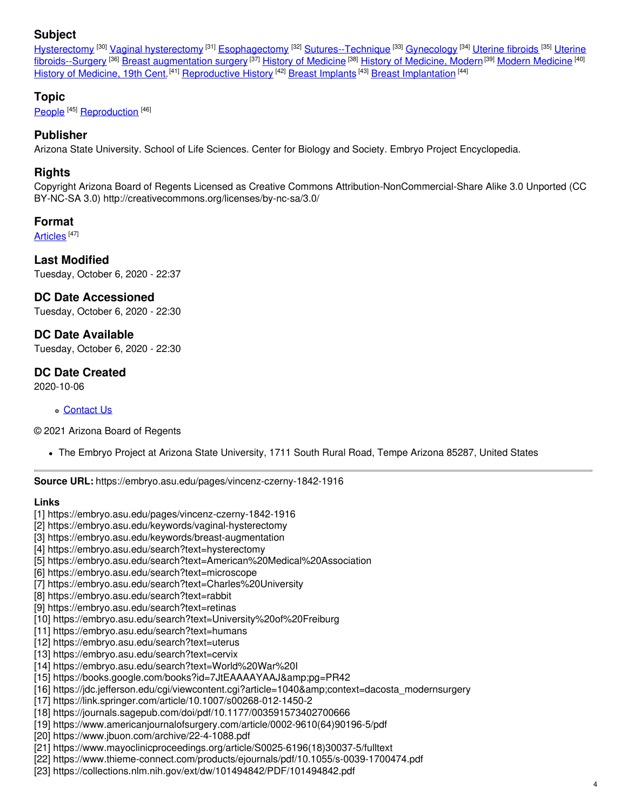## **Subject**

[Hysterectomy](https://embryo.asu.edu/library-congress-subject-headings/hysterectomy) <sup>[30]</sup> Vaginal [hysterectomy](https://embryo.asu.edu/library-congress-subject-headings/vaginal-hysterectomy) <sup>[31]</sup> [Esophagectomy](https://embryo.asu.edu/library-congress-subject-headings/esophagectomy) <sup>[32]</sup> [Sutures--Technique](https://embryo.asu.edu/library-congress-subject-headings/uterine-fibroids-surgery) <sup>[33]</sup> [Gynecology](https://embryo.asu.edu/library-congress-subject-headings/gynecology) <sup>[34]</sup> [Uterine](https://embryo.asu.edu/library-congress-subject-headings/uterine-fibroids) fibroids <sup>[35]</sup> Uterine fibroids--Surgery <sup>(36)</sup> Breast [augmentation](https://embryo.asu.edu/library-congress-subject-headings/breast-augmentation-surgery) surgery <sup>(37)</sup> History of [Medicine](https://embryo.asu.edu/medical-subject-headings/modern-medicine) <sup>(38)</sup> History of [Medicine,](https://embryo.asu.edu/medical-subject-headings/history-medicine-modern) Modern <sup>(39)</sup> Modern Medicine <sup>(40)</sup> History of [Medicine,](https://embryo.asu.edu/medical-subject-headings/history-medicine-19th-cent) 19th Cent.<sup>[41]</sup> [Reproductive](https://embryo.asu.edu/medical-subject-headings/reproductive-history) History <sup>[42]</sup> Breast [Implants](https://embryo.asu.edu/medical-subject-headings/breast-implants) <sup>[43]</sup> Breast [Implantation](https://embryo.asu.edu/medical-subject-headings/breast-implantation) <sup>[44]</sup>

## **Topic**

[People](https://embryo.asu.edu/topics/people)<sup>[45]</sup> [Reproduction](https://embryo.asu.edu/topics/reproduction)<sup>[46]</sup>

## **Publisher**

Arizona State University. School of Life Sciences. Center for Biology and Society. Embryo Project Encyclopedia.

## **Rights**

Copyright Arizona Board of Regents Licensed as Creative Commons Attribution-NonCommercial-Share Alike 3.0 Unported (CC BY-NC-SA 3.0) http://creativecommons.org/licenses/by-nc-sa/3.0/

## **Format**

[Articles](https://embryo.asu.edu/formats/articles) <sup>[47]</sup>

## **Last Modified**

Tuesday, October 6, 2020 - 22:37

## **DC Date Accessioned**

Tuesday, October 6, 2020 - 22:30

## **DC Date Available**

Tuesday, October 6, 2020 - 22:30

## **DC Date Created**

2020-10-06

#### [Contact](https://embryo.asu.edu/contact) Us

© 2021 Arizona Board of Regents

The Embryo Project at Arizona State University, 1711 South Rural Road, Tempe Arizona 85287, United States

**Source URL:** https://embryo.asu.edu/pages/vincenz-czerny-1842-1916

#### **Links**

- [1] https://embryo.asu.edu/pages/vincenz-czerny-1842-1916
- [2] https://embryo.asu.edu/keywords/vaginal-hysterectomy
- [3] https://embryo.asu.edu/keywords/breast-augmentation
- [4] https://embryo.asu.edu/search?text=hysterectomy
- [5] https://embryo.asu.edu/search?text=American%20Medical%20Association
- [6] https://embryo.asu.edu/search?text=microscope
- [7] https://embryo.asu.edu/search?text=Charles%20University
- [8] https://embryo.asu.edu/search?text=rabbit
- [9] https://embryo.asu.edu/search?text=retinas
- [10] https://embryo.asu.edu/search?text=University%20of%20Freiburg
- [11] https://embryo.asu.edu/search?text=humans
- [12] https://embryo.asu.edu/search?text=uterus
- [13] https://embryo.asu.edu/search?text=cervix
- [14] https://embryo.asu.edu/search?text=World%20War%20I
- [15] https://books.google.com/books?id=7JtEAAAAYAAJ&pg=PR42
- [16] https://jdc.jefferson.edu/cgi/viewcontent.cgi?article=1040&context=dacosta\_modernsurgery
- [17] https://link.springer.com/article/10.1007/s00268-012-1450-2
- [18] https://journals.sagepub.com/doi/pdf/10.1177/003591573402700666
- [19] https://www.americanjournalofsurgery.com/article/0002-9610(64)90196-5/pdf
- [20] https://www.jbuon.com/archive/22-4-1088.pdf
- [21] https://www.mayoclinicproceedings.org/article/S0025-6196(18)30037-5/fulltext
- [22] https://www.thieme-connect.com/products/ejournals/pdf/10.1055/s-0039-1700474.pdf
- [23] https://collections.nlm.nih.gov/ext/dw/101494842/PDF/101494842.pdf